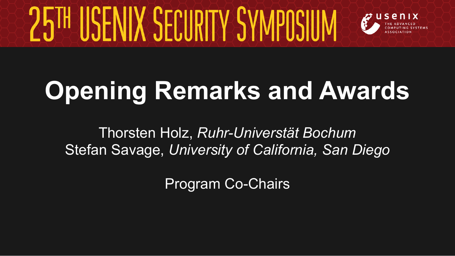

## **Opening Remarks and Awards**

Thorsten Holz, *Ruhr-Universtät Bochum*  Stefan Savage, *University of California, San Diego* 

Program Co-Chairs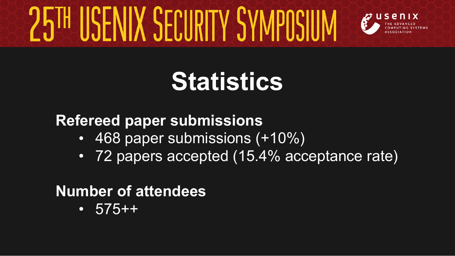

### **Statistics**

#### **Refereed paper submissions**

- 468 paper submissions (+10%)
- 72 papers accepted (15.4% acceptance rate)

#### **Number of attendees**

 $\cdot$  575++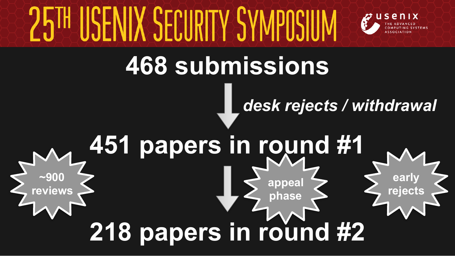## IIX SECIIRITY S



**early** 

### **468 submissions**

### *desk rejects / withdrawal*

### **451 papers in round #1**  $-900$ **reviews 218 papers in round #2** appeal  $\left\{\right. \right.$   $\left\{\right. \right.}$   $\left\{\right. \right.}$   $\left\{\right.$   $\left. \right.$   $\left. \right.$   $\left. \right.$   $\left. \right.$   $\left. \right.$   $\left. \right.$   $\left. \right.$   $\left. \right.$   $\left. \right.$   $\left. \right.$   $\left. \right.$   $\left. \right.$   $\left. \right.$   $\left. \right.$   $\left. \right.$   $\left. \right.$   $\left. \right.$   $\left. \right.$   $\left. \right$ **phase**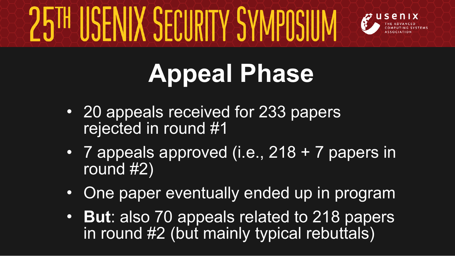

## **Appeal Phase**

- 20 appeals received for 233 papers rejected in round #1
- 7 appeals approved (i.e., 218 + 7 papers in round #2)
- One paper eventually ended up in program
- **But**: also 70 appeals related to 218 papers in round  $#2$  (but mainly typical rebuttals)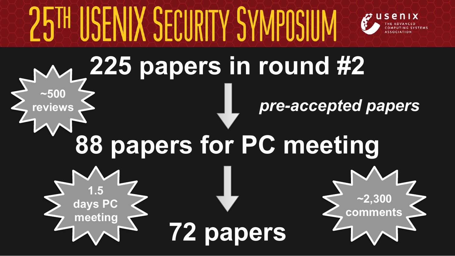

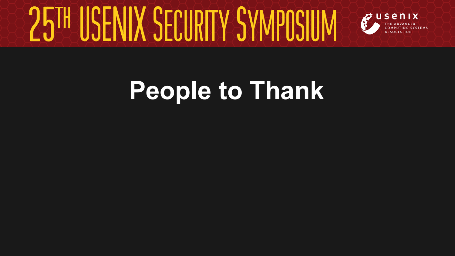

### **People to Thank**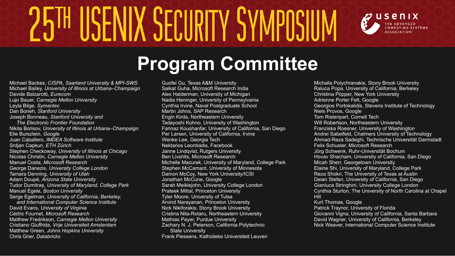

### **Program Committee**

Michael Backes, *CISPA, Saarland University & MPI-SWS*  Michael Bailey, *University of Illinois at Urbana–Champaign* Davide Balzarotti, *Eurecom* Lujo Bauer, *Carnegie Mellon University*  Leyla Bilge, *Symantec* Dan Boneh, *Stanford University*  Joseph Bonneau, *Stanford University and The Electronic Frontier Foundation*  Nikita Borisov, *University of Illinois at Urbana–Champaign* Elie Bursztein, *Google*  Juan Caballero, *IMDEA Software Institute*  Srdjan Capkun, *ETH Zürich* Stephen Checkoway, *University of Illinois at Chicago*  Nicolas Christin, *Carnegie Mellon University*  Manuel Costa, *Microsoft Research*  George Danezis, *University College London*  Tamara Denning, *University of Utah*  Adam Doupé, *Arizona State University* Tudor Dumitraș, *University of Maryland, College Park*  Manuel Egele, *Boston University*  Serge Egelman, *University of California, Berkeley, and International Computer Science Institute*  David Evans, *University of Virginia*  Cédric Fournet, *Microsoft Research*  Matthew Fredrikson, *Carnegie Mellon University*  Cristiano Giuffrida, *Vrije Universiteit Amsterdam*  Matthew Green, *Johns Hopkins University*  Chris Grier, *Databricks*

Guofei Gu, Texas A&M University Saikat Guha, Microsoft Research India Alex Halderman, University of Michigan Nadia Heninger, University of Pennsylvania Cynthia Irvine, Naval Postgraduate School Martin Johns, SAP Research Engin Kirda, Northeastern University Tadayoshi Kohno, University of Washington Farinaz Koushanfar, University of California, San Diego Per Larsen, University of California, Irvine Wenke Lee, Georgia Tech Nektarios Leontiadis, Facebook Janne Lindqvist, Rutgers University Ben Livshits, Microsoft Research Michelle Mazurek, University of Maryland, College Park Stephen McCamant, University of Minnesota Damon McCoy, New York University/ICSI Jonathan McCune, Google Sarah Meiklejohn, University College London Prateek Mittal, Princeton University Tyler Moore, University of Tulsa Arvind Narayanan, Princeton University Nick Nikiforakis, Stony Brook University Cristina Nita-Rotaru, Northeastern University Mathias Payer, Purdue University Zachary N. J. Peterson, California Polytechnic State University Frank Piessens, Katholieke Universiteit Leuven

Michalis Polychranakis, Stony Brook University Raluca Popa, University of California, Berkeley Christina Pöpper, New York University Adrienne Porter Felt, Google Georgios Portokalidis, Stevens Institute of Technology Niels Provos, Google Tom Ristenpart, Cornell Tech Will Robertson, Northeastern University Franziska Roesner, University of Washington Andrei Sabelfeld, Chalmers University of Technology Ahmad-Reza Sadeghi, Technische Universität Darmstadt Felix Schuster, Microsoft Research Jörg Schwenk, Ruhr-Universität Bochum Hovav Shacham, University of California, San Diego Micah Sherr, Georgetown University Elaine Shi, University of Maryland, College Park Reza Shokri, The University of Texas at Austin Deian Stefan, University of California, San Diego Gianluca Stringhini, University College London Cynthia Sturton, The University of North Carolina at Chapel Hill Kurt Thomas, Google Patrick Traynor, University of Florida Giovanni Vigna, University of California, Santa Barbara David Wagner, University of California, Berkeley Nick Weaver, International Computer Science Institute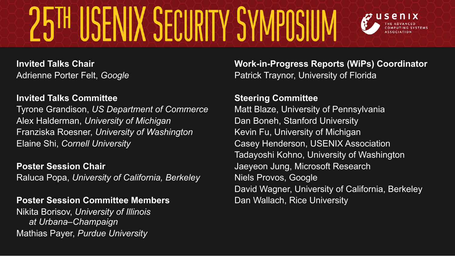# SENIX SECURITY SYMPOSI

**Invited Talks Chair** Adrienne Porter Felt, *Google* 

#### **Invited Talks Committee**

Tyrone Grandison, *US Department of Commerce* Alex Halderman, *University of Michigan* Franziska Roesner, *University of Washington* Elaine Shi, *Cornell University*

**Poster Session Chair**  Raluca Popa, *University of California, Berkeley* 

#### **Poster Session Committee Members**

Nikita Borisov, *University of Illinois at Urbana–Champaign*  Mathias Payer, *Purdue University*

**Work-in-Progress Reports (WiPs) Coordinator**  Patrick Traynor, University of Florida

#### **Steering Committee**

Matt Blaze, University of Pennsylvania Dan Boneh, Stanford University Kevin Fu, University of Michigan Casey Henderson, USENIX Association Tadayoshi Kohno, University of Washington Jaeyeon Jung, Microsoft Research Niels Provos, Google David Wagner, University of California, Berkeley Dan Wallach, Rice University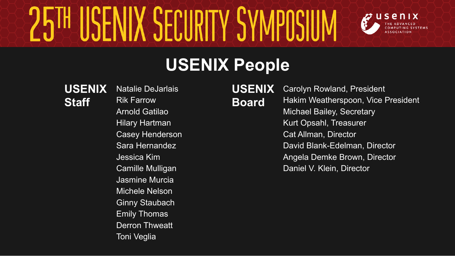# **FNIX SECURITY SYN**



### **USENIX People**

#### **USENIX Staff**

Natalie DeJarlais Rik Farrow Arnold Gatilao Hilary Hartman Casey Henderson Sara Hernandez Jessica Kim Camille Mulligan Jasmine Murcia Michele Nelson Ginny Staubach Emily Thomas Derron Thweatt Toni Veglia

**USENIX Board** Carolyn Rowland, President Hakim Weatherspoon, Vice President Michael Bailey, Secretary Kurt Opsahl, Treasurer Cat Allman, Director David Blank-Edelman, Director Angela Demke Brown, Director Daniel V. Klein, Director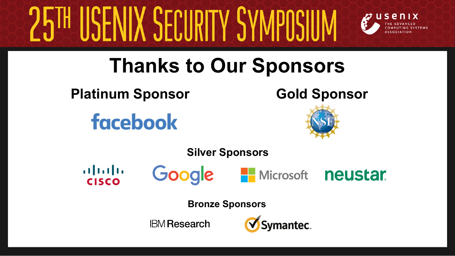# NIX SECIIRITY SYN



### **Thanks to Our Sponsors**

**Platinum Sponsor**

**facebook** 

**Gold Sponsor**



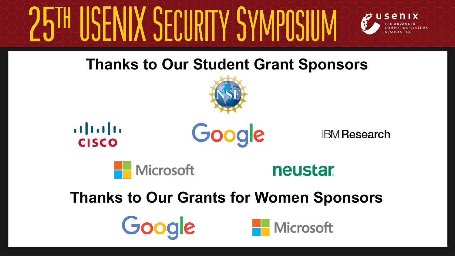# ENIX SECURITY SYN



#### **Thanks to Our Student Grant Sponsors**







**IBM Research** 



**neustar.** 

#### **Thanks to Our Grants for Women Sponsors**



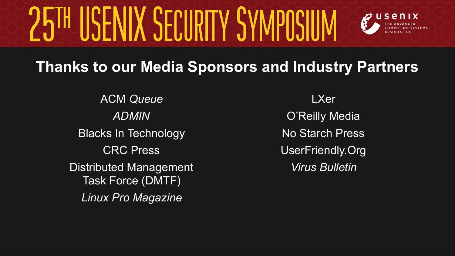# ISENIX SECURITY SYMPOSIUN



#### **Thanks to our Media Sponsors and Industry Partners**

ACM *Queue ADMIN*  Blacks In Technology CRC Press Distributed Management Task Force (DMTF) *Linux Pro Magazine*

LXer O'Reilly Media No Starch Press UserFriendly.Org *Virus Bulletin*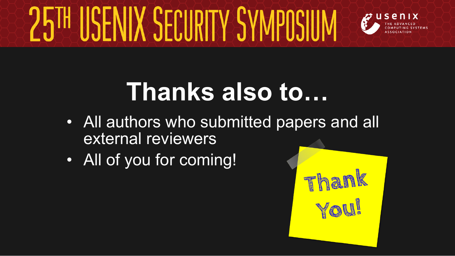

### **Thanks also to…**

- All authors who submitted papers and all external reviewers
- All of you for coming!

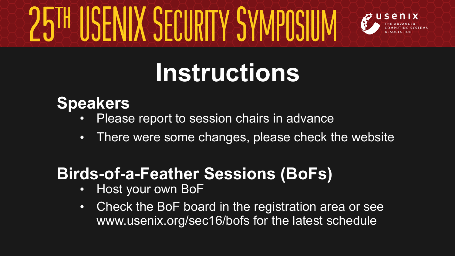

## **Instructions**

#### **Speakers**

- Please report to session chairs in advance
- There were some changes, please check the website

### **Birds-of-a-Feather Sessions (BoFs)**

- Host your own BoF
- Check the BoF board in the registration area or see www.usenix.org/sec16/bofs for the latest schedule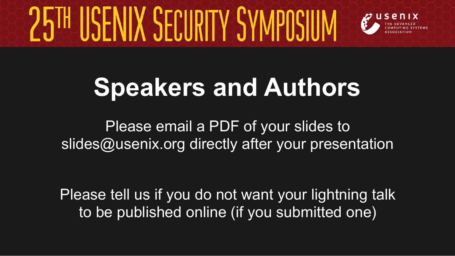

### **Speakers and Authors**

Please email a PDF of your slides to slides@usenix.org directly after your presentation

Please tell us if you do not want your lightning talk to be published online (if you submitted one)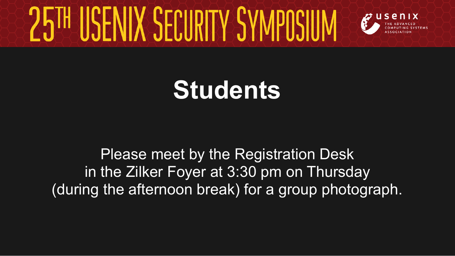

### **Students**

Please meet by the Registration Desk in the Zilker Foyer at 3:30 pm on Thursday (during the afternoon break) for a group photograph.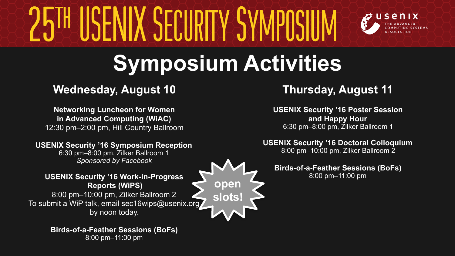# ENIX SERIIRILY SY



### **Symposium Activities**

#### **Wednesday, August 10 Thursday, August 11**

**Networking Luncheon for Women in Advanced Computing (WiAC)** 12:30 pm–2:00 pm, Hill Country Ballroom

#### **USENIX Security '16 Symposium Reception**

6:30 pm–8:00 pm, Zilker Ballroom 1 *Sponsored by Facebook* 

#### **USENIX Security '16 Work-in-Progress Reports (WiPS)**

8:00 pm–10:00 pm, Zilker Ballroom 2 To submit a WiP talk, email sec16wips@usenix.org by noon today.

> **Birds-of-a-Feather Sessions (BoFs)**  8:00 pm–11:00 pm

**USENIX Security '16 Poster Session and Happy Hour**  6:30 pm–8:00 pm, Zilker Ballroom 1

#### **USENIX Security '16 Doctoral Colloquium**

8:00 pm–10:00 pm, Zilker Ballroom 2

#### **Birds-of-a-Feather Sessions (BoFs)**  8:00 pm–11:00 pm

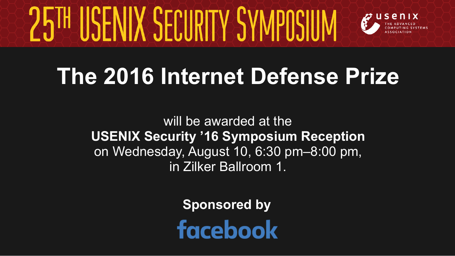

### **The 2016 Internet Defense Prize**

will be awarded at the **USENIX Security '16 Symposium Reception** on Wednesday, August 10, 6:30 pm–8:00 pm, in Zilker Ballroom 1.

**Sponsored by**

**facebook**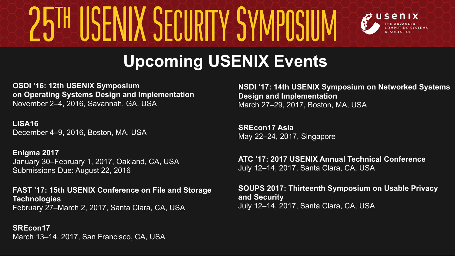

### **Upcoming USENIX Events**

**OSDI '16: 12th USENIX Symposium on Operating Systems Design and Implementation** November 2–4, 2016, Savannah, GA, USA

**LISA16** December 4–9, 2016, Boston, MA, USA

**Enigma 2017** January 30–February 1, 2017, Oakland, CA, USA Submissions Due: August 22, 2016

**FAST '17: 15th USENIX Conference on File and Storage Technologies** February 27–March 2, 2017, Santa Clara, CA, USA

**SREcon17** March 13–14, 2017, San Francisco, CA, USA **NSDI '17: 14th USENIX Symposium on Networked Systems Design and Implementation** March 27–29, 2017, Boston, MA, USA

**SREcon17 Asia** May 22–24, 2017, Singapore

**ATC '17: 2017 USENIX Annual Technical Conference** July 12–14, 2017, Santa Clara, CA, USA

**SOUPS 2017: Thirteenth Symposium on Usable Privacy and Security**  July 12–14, 2017, Santa Clara, CA, USA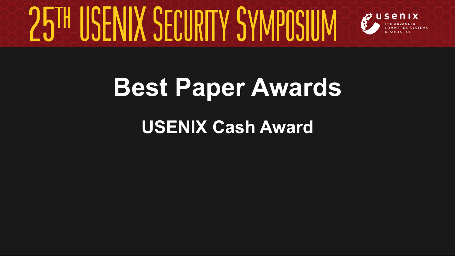

### **Best Paper Awards**

### **USENIX Cash Award**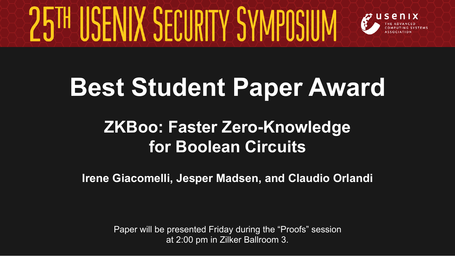

### **Best Student Paper Award**

### **ZKBoo: Faster Zero-Knowledge for Boolean Circuits**

**Irene Giacomelli, Jesper Madsen, and Claudio Orlandi**

Paper will be presented Friday during the "Proofs" session at 2:00 pm in Zilker Ballroom 3.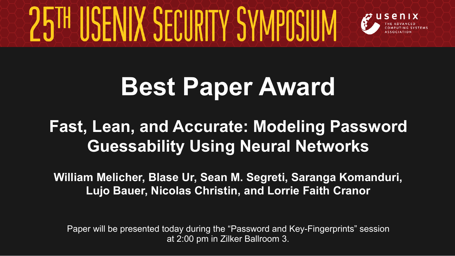

### **Best Paper Award**

### **Fast, Lean, and Accurate: Modeling Password Guessability Using Neural Networks**

**William Melicher, Blase Ur, Sean M. Segreti, Saranga Komanduri, Lujo Bauer, Nicolas Christin, and Lorrie Faith Cranor**

Paper will be presented today during the "Password and Key-Fingerprints" session at 2:00 pm in Zilker Ballroom 3.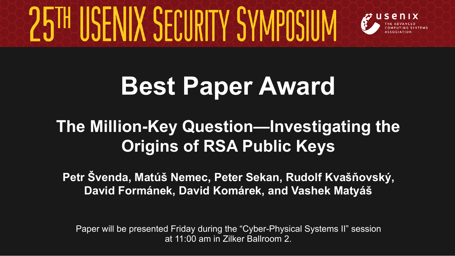

### **Best Paper Award**

### **The Million-Key Question—Investigating the Origins of RSA Public Keys**

**Petr Švenda, Matúš Nemec, Peter Sekan, Rudolf Kvašňovský, David Formánek, David Komárek, and Vashek Matyáš**

Paper will be presented Friday during the "Cyber-Physical Systems II" session at 11:00 am in Zilker Ballroom 2.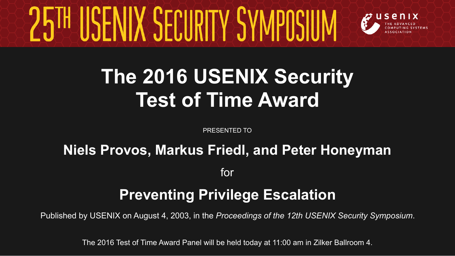

### **The 2016 USENIX Security Test of Time Award**

PRESENTED TO

## **Niels Provos, Markus Friedl, and Peter Honeyman**

for

#### **Preventing Privilege Escalation**

Published by USENIX on August 4, 2003, in the *Proceedings of the 12th USENIX Security Symposium*.

The 2016 Test of Time Award Panel will be held today at 11:00 am in Zilker Ballroom 4.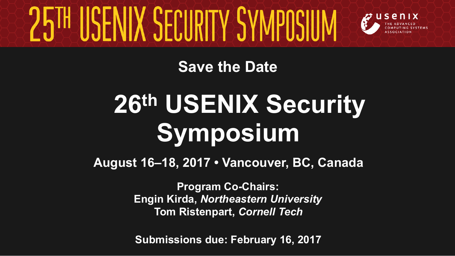

**Save the Date**

## **26th USENIX Security Symposium**

**August 16–18, 2017 • Vancouver, BC, Canada**

**Program Co-Chairs: Engin Kirda,** *Northeastern University*  **Tom Ristenpart,** *Cornell Tech* 

**Submissions due: February 16, 2017**